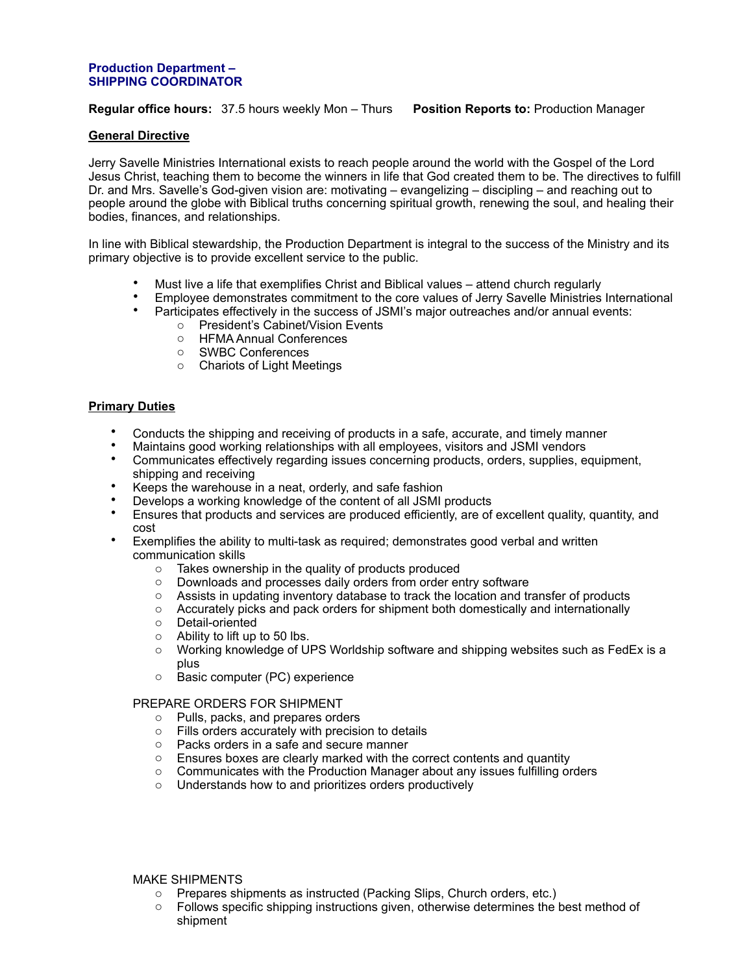#### **Production Department – SHIPPING COORDINATOR**

## **Regular office hours:** 37.5 hours weekly Mon – Thurs **Position Reports to:** Production Manager

### **General Directive**

Jerry Savelle Ministries International exists to reach people around the world with the Gospel of the Lord Jesus Christ, teaching them to become the winners in life that God created them to be. The directives to fulfill Dr. and Mrs. Savelle's God-given vision are: motivating – evangelizing – discipling – and reaching out to people around the globe with Biblical truths concerning spiritual growth, renewing the soul, and healing their bodies, finances, and relationships.

In line with Biblical stewardship, the Production Department is integral to the success of the Ministry and its primary objective is to provide excellent service to the public.

- Must live a life that exemplifies Christ and Biblical values attend church regularly
- Employee demonstrates commitment to the core values of Jerry Savelle Ministries International • Participates effectively in the success of JSMI's major outreaches and/or annual events:
	- o President's Cabinet/Vision Events
		-
		- o HFMA Annual Conferences
		- o SWBC Conferences
		- o Chariots of Light Meetings

## **Primary Duties**

- Conducts the shipping and receiving of products in a safe, accurate, and timely manner
- Maintains good working relationships with all employees, visitors and JSMI vendors
- Communicates effectively regarding issues concerning products, orders, supplies, equipment, shipping and receiving
- Keeps the warehouse in a neat, orderly, and safe fashion
- Develops a working knowledge of the content of all JSMI products
- Ensures that products and services are produced efficiently, are of excellent quality, quantity, and cost
- Exemplifies the ability to multi-task as required; demonstrates good verbal and written communication skills
	- o Takes ownership in the quality of products produced
	- o Downloads and processes daily orders from order entry software
	- o Assists in updating inventory database to track the location and transfer of products
	- o Accurately picks and pack orders for shipment both domestically and internationally
	- o Detail-oriented
	- $\circ$  Ability to lift up to 50 lbs.
	- $\circ$  Working knowledge of UPS Worldship software and shipping websites such as FedEx is a plus
	- o Basic computer (PC) experience

#### PREPARE ORDERS FOR SHIPMENT

- o Pulls, packs, and prepares orders
- o Fills orders accurately with precision to details
- 
- $\circ$  Packs orders in a safe and secure manner<br> $\circ$  Ensures boxes are clearly marked with the Ensures boxes are clearly marked with the correct contents and quantity
- Communicates with the Production Manager about any issues fulfilling orders <br>○ Understands how to and prioritizes orders productively
- Understands how to and prioritizes orders productively

### MAKE SHIPMENTS

- o Prepares shipments as instructed (Packing Slips, Church orders, etc.)
- o Follows specific shipping instructions given, otherwise determines the best method of shipment